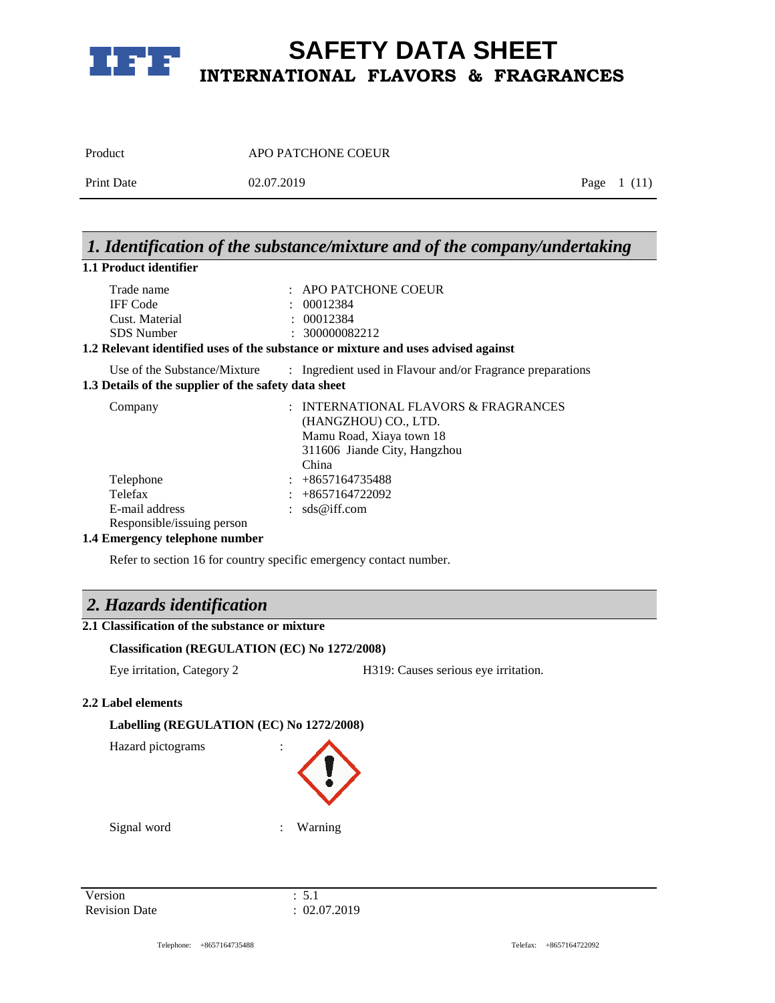

| Product    | APO PATCHONE COEUR |              |
|------------|--------------------|--------------|
| Print Date | 02.07.2019         | Page $1(11)$ |

# *1. Identification of the substance/mixture and of the company/undertaking*

### **1.1 Product identifier**

| Trade name      | $\therefore$ APO PATCHONE COEUR                                               |
|-----------------|-------------------------------------------------------------------------------|
| <b>IFF</b> Code | $\div$ 00012384                                                               |
| Cust. Material  | $\div$ 00012384                                                               |
| SDS Number      | $\pm 300000082212$                                                            |
|                 | Delevent identified year of the quickenes on mixture and year advised against |

### **1.2 Relevant identified uses of the substance or mixture and uses advised against**

Use of the Substance/Mixture : Ingredient used in Flavour and/or Fragrance preparations **1.3 Details of the supplier of the safety data sheet**

| Company                     | : INTERNATIONAL FLAVORS & FRAGRANCES |
|-----------------------------|--------------------------------------|
|                             | (HANGZHOU) CO., LTD.                 |
|                             | Mamu Road, Xiaya town 18             |
|                             | 311606 Jiande City, Hangzhou         |
|                             | China                                |
| Telephone                   | $: +8657164735488$                   |
| Telefax                     | $: +8657164722092$                   |
| E-mail address              | : $sds@iff.com$                      |
| Responsible/issuing person  |                                      |
| 4 Emanagar talanhang number |                                      |

### **1.4 Emergency telephone number**

Refer to section 16 for country specific emergency contact number.

### *2. Hazards identification*

### **2.1 Classification of the substance or mixture**

### **Classification (REGULATION (EC) No 1272/2008)**

Eye irritation, Category 2 H319: Causes serious eye irritation.

### **2.2 Label elements**

### **Labelling (REGULATION (EC) No 1272/2008)**

Hazard pictograms :



Signal word : Warning

Version : 5.1 Revision Date : 02.07.2019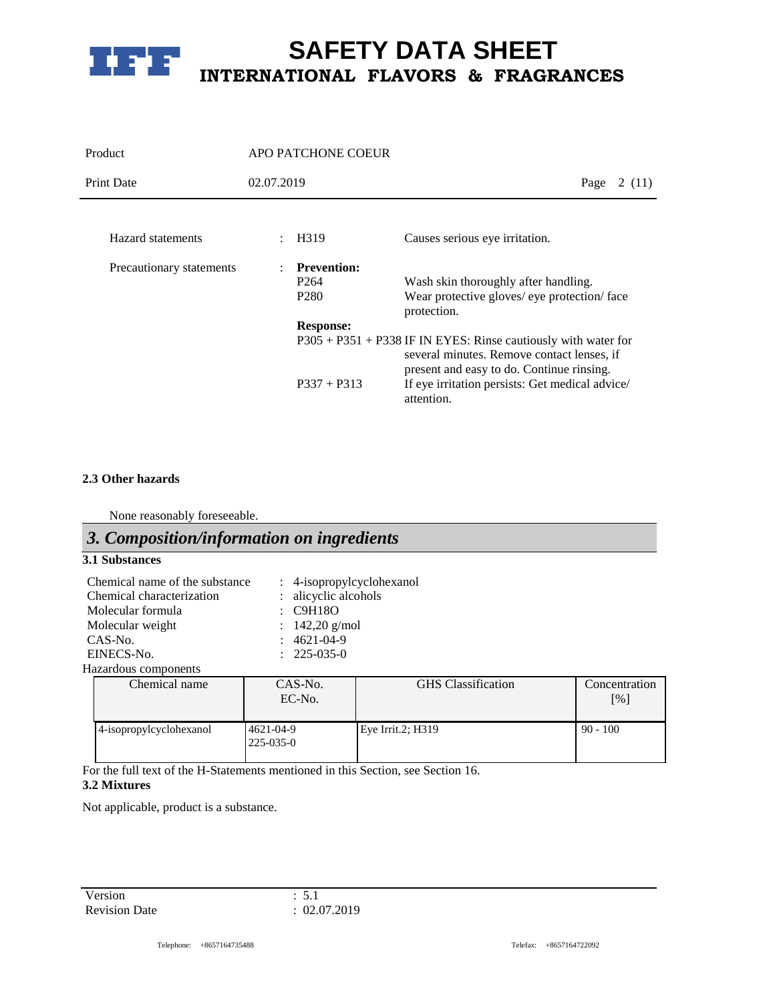

| Product                  |            | APO PATCHONE COEUR                                         |                                                                                                                |
|--------------------------|------------|------------------------------------------------------------|----------------------------------------------------------------------------------------------------------------|
| <b>Print Date</b>        | 02.07.2019 |                                                            | Page<br>2 (11)                                                                                                 |
| Hazard statements        |            | H319                                                       | Causes serious eye irritation.                                                                                 |
| Precautionary statements |            | <b>Prevention:</b><br>P <sub>264</sub><br>P <sub>280</sub> | Wash skin thoroughly after handling.<br>Wear protective gloves/ eye protection/ face<br>protection.            |
|                          |            | <b>Response:</b>                                           | $P305 + P351 + P338$ IF IN EYES: Rinse cautiously with water for<br>several minutes. Remove contact lenses, if |
|                          |            | $P337 + P313$                                              | present and easy to do. Continue rinsing.<br>If eye irritation persists: Get medical advice/<br>attention.     |

### **2.3 Other hazards**

None reasonably foreseeable.

## *3. Composition/information on ingredients*

### **3.1 Substances**

| Chemical name of the substance | : 4-isopropylcyclohexanol |
|--------------------------------|---------------------------|
| Chemical characterization      | : alicyclic alcohols      |
| Molecular formula              | $\therefore$ C9H18O       |
| Molecular weight               | : $142,20$ g/mol          |
| $CAS-N0$ .                     | $: 4621 - 04 - 9$         |
| EINECS-No.                     | $: 225-035-0$             |
|                                |                           |

Hazardous components

| Chemical name           | CAS-No.<br>$EC-N0$ .         | <b>GHS</b> Classification | Concentration<br>$\lceil\% \rceil$ |
|-------------------------|------------------------------|---------------------------|------------------------------------|
| 4-isopropylcyclohexanol | 4621-04-9<br>$225 - 035 - 0$ | Eye Irrit.2; H319         | $90 - 100$                         |

For the full text of the H-Statements mentioned in this Section, see Section 16.

### **3.2 Mixtures**

Not applicable, product is a substance.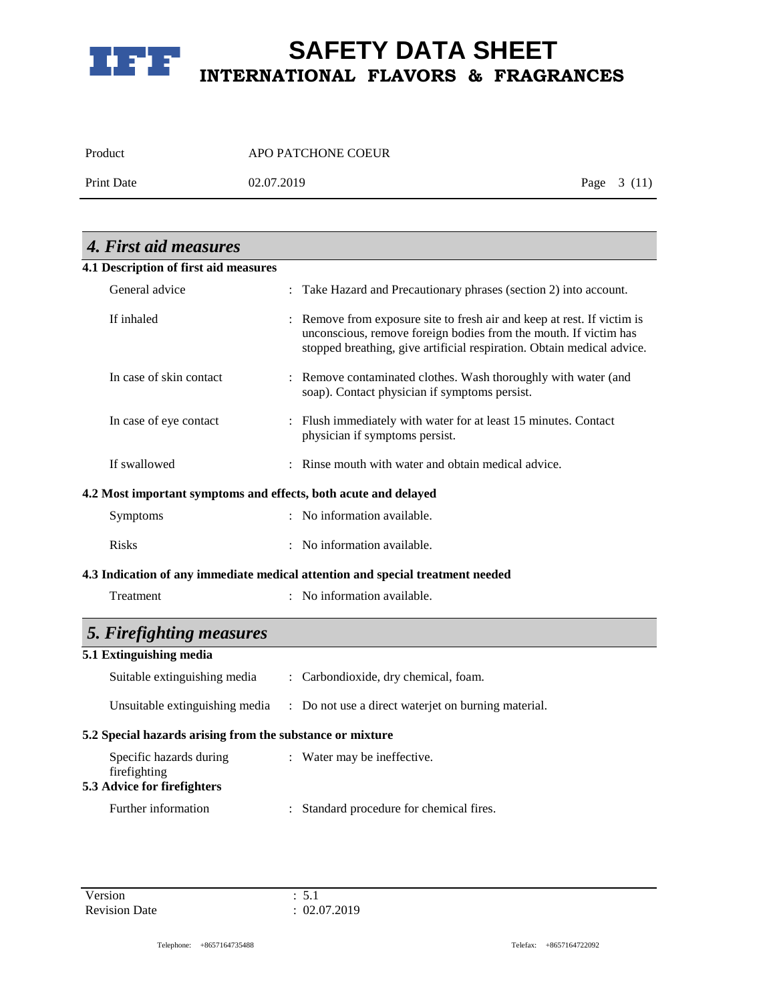

Product APO PATCHONE COEUR

Print Date 02.07.2019 Page 3 (11)

| 4. First aid measures                                                  |                                                                                                                                                                                                                       |
|------------------------------------------------------------------------|-----------------------------------------------------------------------------------------------------------------------------------------------------------------------------------------------------------------------|
| 4.1 Description of first aid measures                                  |                                                                                                                                                                                                                       |
| General advice                                                         | : Take Hazard and Precautionary phrases (section 2) into account.                                                                                                                                                     |
| If inhaled                                                             | : Remove from exposure site to fresh air and keep at rest. If victim is<br>unconscious, remove foreign bodies from the mouth. If victim has<br>stopped breathing, give artificial respiration. Obtain medical advice. |
| In case of skin contact                                                | : Remove contaminated clothes. Wash thoroughly with water (and<br>soap). Contact physician if symptoms persist.                                                                                                       |
| In case of eye contact                                                 | : Flush immediately with water for at least 15 minutes. Contact<br>physician if symptoms persist.                                                                                                                     |
| If swallowed                                                           | Rinse mouth with water and obtain medical advice.                                                                                                                                                                     |
| 4.2 Most important symptoms and effects, both acute and delayed        |                                                                                                                                                                                                                       |
| Symptoms                                                               | : No information available.                                                                                                                                                                                           |
| <b>Risks</b>                                                           | : No information available.                                                                                                                                                                                           |
|                                                                        | 4.3 Indication of any immediate medical attention and special treatment needed                                                                                                                                        |
| Treatment                                                              | : No information available.                                                                                                                                                                                           |
| 5. Firefighting measures                                               |                                                                                                                                                                                                                       |
| 5.1 Extinguishing media                                                |                                                                                                                                                                                                                       |
| Suitable extinguishing media                                           | : Carbondioxide, dry chemical, foam.                                                                                                                                                                                  |
| Unsuitable extinguishing media                                         | : Do not use a direct waterjet on burning material.                                                                                                                                                                   |
| 5.2 Special hazards arising from the substance or mixture              |                                                                                                                                                                                                                       |
| Specific hazards during<br>firefighting<br>5.3 Advice for firefighters | : Water may be ineffective.                                                                                                                                                                                           |
|                                                                        |                                                                                                                                                                                                                       |
| Further information                                                    | : Standard procedure for chemical fires.                                                                                                                                                                              |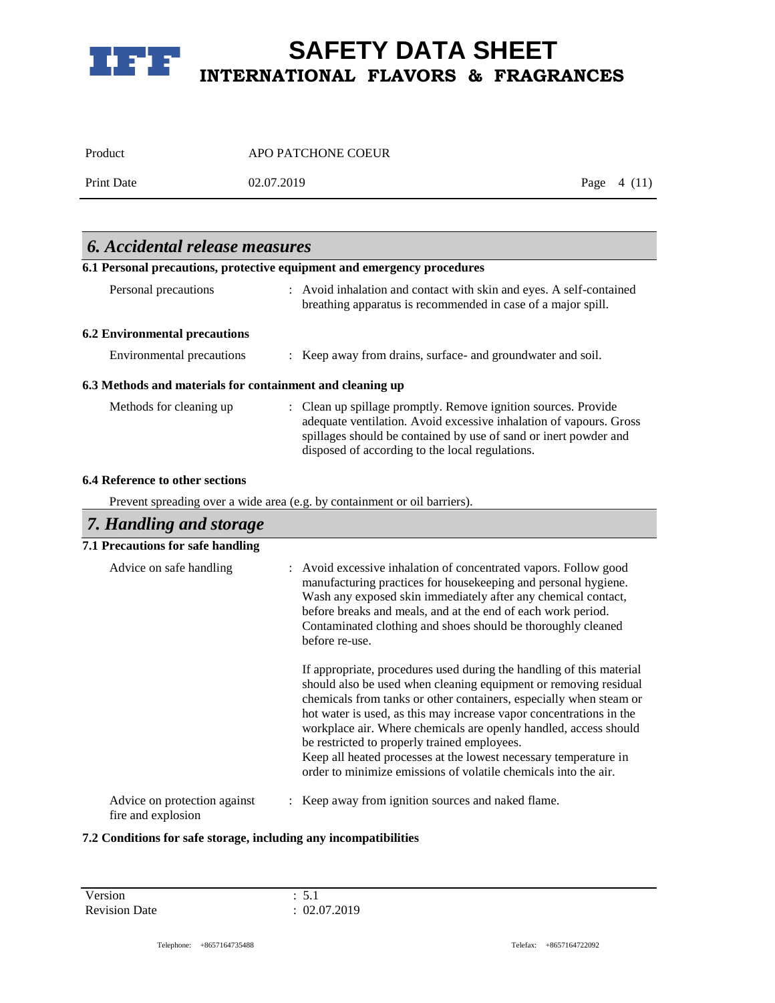

| Product    | APO PATCHONE COEUR |              |  |
|------------|--------------------|--------------|--|
| Print Date | 02.07.2019         | Page $4(11)$ |  |
|            |                    |              |  |

| <b>6.</b> Accidental release measures                     |                                                                                                                                                                                                                                                                                                                                                     |
|-----------------------------------------------------------|-----------------------------------------------------------------------------------------------------------------------------------------------------------------------------------------------------------------------------------------------------------------------------------------------------------------------------------------------------|
|                                                           | 6.1 Personal precautions, protective equipment and emergency procedures                                                                                                                                                                                                                                                                             |
| Personal precautions                                      | : Avoid inhalation and contact with skin and eyes. A self-contained<br>breathing apparatus is recommended in case of a major spill.                                                                                                                                                                                                                 |
| <b>6.2 Environmental precautions</b>                      |                                                                                                                                                                                                                                                                                                                                                     |
| <b>Environmental precautions</b>                          | Keep away from drains, surface- and groundwater and soil.<br>$\ddot{\phantom{a}}$                                                                                                                                                                                                                                                                   |
| 6.3 Methods and materials for containment and cleaning up |                                                                                                                                                                                                                                                                                                                                                     |
| Methods for cleaning up                                   | : Clean up spillage promptly. Remove ignition sources. Provide<br>adequate ventilation. Avoid excessive inhalation of vapours. Gross<br>spillages should be contained by use of sand or inert powder and<br>disposed of according to the local regulations.                                                                                         |
| 6.4 Reference to other sections                           |                                                                                                                                                                                                                                                                                                                                                     |
|                                                           | Prevent spreading over a wide area (e.g. by containment or oil barriers).                                                                                                                                                                                                                                                                           |
| 7. Handling and storage                                   |                                                                                                                                                                                                                                                                                                                                                     |
| 7.1 Precautions for safe handling                         |                                                                                                                                                                                                                                                                                                                                                     |
| Advice on safe handling                                   | Avoid excessive inhalation of concentrated vapors. Follow good<br>manufacturing practices for housekeeping and personal hygiene.<br>Wash any exposed skin immediately after any chemical contact,<br>before breaks and meals, and at the end of each work period.<br>Contaminated clothing and shoes should be thoroughly cleaned<br>before re-use. |

hot water is used, as this may increase vapor concentrations in the workplace air. Where chemicals are openly handled, access should be restricted to properly trained employees. Keep all heated processes at the lowest necessary temperature in order to minimize emissions of volatile chemicals into the air. : Keep away from ignition sources and naked flame.

If appropriate, procedures used during the handling of this material should also be used when cleaning equipment or removing residual chemicals from tanks or other containers, especially when steam or

Advice on protection against fire and explosion

### **7.2 Conditions for safe storage, including any incompatibilities**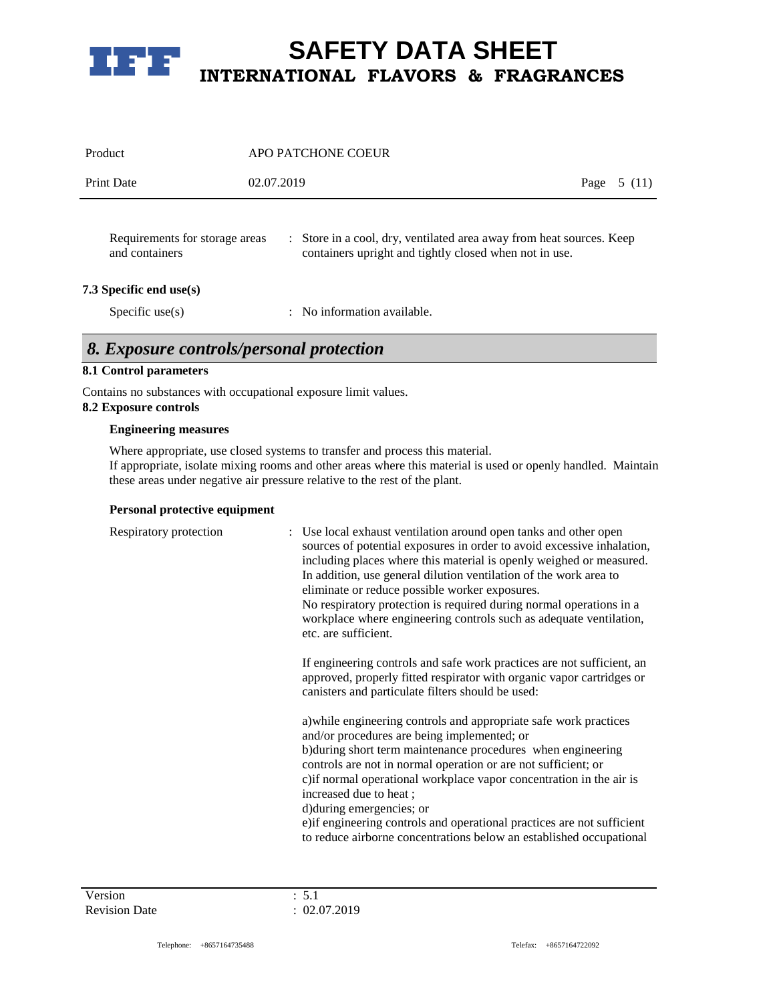

| Product                                          | APO PATCHONE COEUR                                                                                                                                        |      |        |
|--------------------------------------------------|-----------------------------------------------------------------------------------------------------------------------------------------------------------|------|--------|
| <b>Print Date</b>                                | 02.07.2019                                                                                                                                                | Page | 5 (11) |
| Requirements for storage areas<br>and containers | Store in a cool, dry, ventilated area away from heat sources. Keep<br>$\mathbb{R}^{\mathbb{Z}}$<br>containers upright and tightly closed when not in use. |      |        |
| 7.3 Specific end use(s)                          |                                                                                                                                                           |      |        |
| Specific use $(s)$                               | No information available.                                                                                                                                 |      |        |

# *8. Exposure controls/personal protection*

### **8.1 Control parameters**

Contains no substances with occupational exposure limit values. **8.2 Exposure controls**

#### **Engineering measures**

Where appropriate, use closed systems to transfer and process this material. If appropriate, isolate mixing rooms and other areas where this material is used or openly handled. Maintain these areas under negative air pressure relative to the rest of the plant.

#### **Personal protective equipment**

| Respiratory protection | : Use local exhaust ventilation around open tanks and other open<br>sources of potential exposures in order to avoid excessive inhalation,<br>including places where this material is openly weighed or measured.<br>In addition, use general dilution ventilation of the work area to<br>eliminate or reduce possible worker exposures.<br>No respiratory protection is required during normal operations in a<br>workplace where engineering controls such as adequate ventilation,<br>etc. are sufficient.                       |
|------------------------|-------------------------------------------------------------------------------------------------------------------------------------------------------------------------------------------------------------------------------------------------------------------------------------------------------------------------------------------------------------------------------------------------------------------------------------------------------------------------------------------------------------------------------------|
|                        | If engineering controls and safe work practices are not sufficient, an<br>approved, properly fitted respirator with organic vapor cartridges or<br>canisters and particulate filters should be used:                                                                                                                                                                                                                                                                                                                                |
|                        | a) while engineering controls and appropriate safe work practices<br>and/or procedures are being implemented; or<br>b) during short term maintenance procedures when engineering<br>controls are not in normal operation or are not sufficient; or<br>c) if normal operational workplace vapor concentration in the air is<br>increased due to heat;<br>d) during emergencies; or<br>e) if engineering controls and operational practices are not sufficient<br>to reduce airborne concentrations below an established occupational |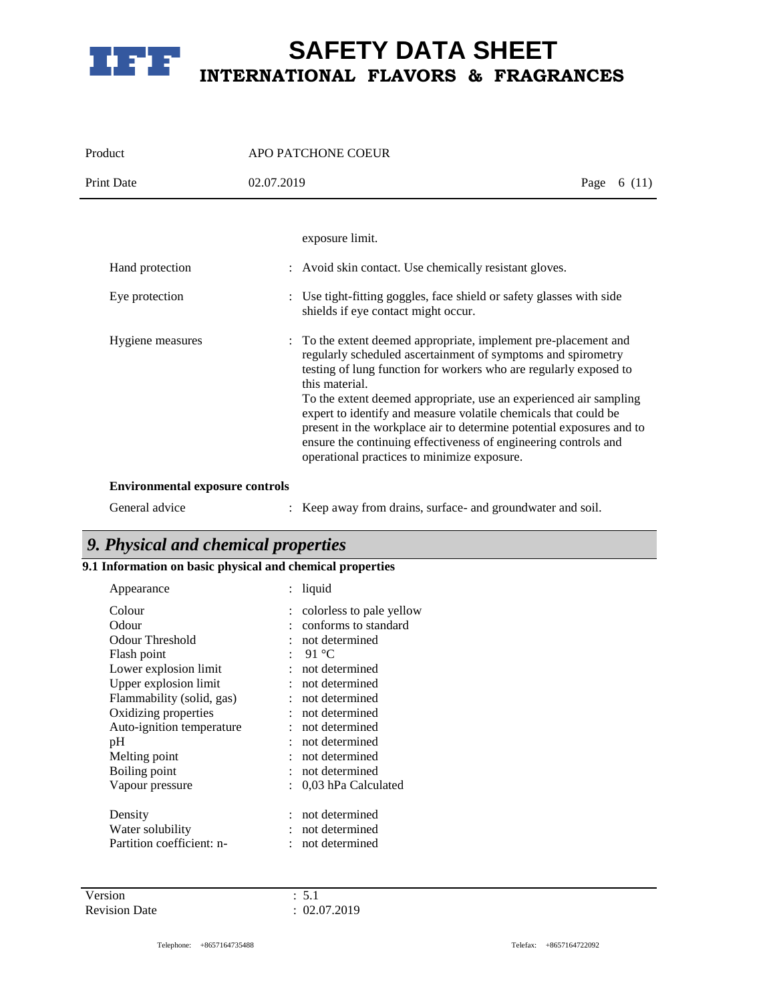

| Product                                | <b>APO PATCHONE COEUR</b>                                                                                                                                                                                                                                                                                                                                                                                                                                                                                                                                                                       |                |
|----------------------------------------|-------------------------------------------------------------------------------------------------------------------------------------------------------------------------------------------------------------------------------------------------------------------------------------------------------------------------------------------------------------------------------------------------------------------------------------------------------------------------------------------------------------------------------------------------------------------------------------------------|----------------|
| <b>Print Date</b>                      | 02.07.2019                                                                                                                                                                                                                                                                                                                                                                                                                                                                                                                                                                                      | Page<br>6 (11) |
| Hand protection<br>Eye protection      | exposure limit.<br>: Avoid skin contact. Use chemically resistant gloves.<br>: Use tight-fitting goggles, face shield or safety glasses with side                                                                                                                                                                                                                                                                                                                                                                                                                                               |                |
| Hygiene measures                       | shields if eye contact might occur.<br>: To the extent deemed appropriate, implement pre-placement and<br>regularly scheduled ascertainment of symptoms and spirometry<br>testing of lung function for workers who are regularly exposed to<br>this material.<br>To the extent deemed appropriate, use an experienced air sampling<br>expert to identify and measure volatile chemicals that could be<br>present in the workplace air to determine potential exposures and to<br>ensure the continuing effectiveness of engineering controls and<br>operational practices to minimize exposure. |                |
| <b>Environmental exposure controls</b> |                                                                                                                                                                                                                                                                                                                                                                                                                                                                                                                                                                                                 |                |
|                                        |                                                                                                                                                                                                                                                                                                                                                                                                                                                                                                                                                                                                 |                |

| General advice |  | : Keep away from drains, surface- and groundwater and soil. |  |
|----------------|--|-------------------------------------------------------------|--|
|----------------|--|-------------------------------------------------------------|--|

# *9. Physical and chemical properties*

### **9.1 Information on basic physical and chemical properties**

| Appearance                | liquid                   |
|---------------------------|--------------------------|
| Colour                    | colorless to pale yellow |
| Odour                     | conforms to standard     |
| Odour Threshold           | not determined           |
| Flash point               | $-91 °C$                 |
| Lower explosion limit     | not determined           |
| Upper explosion limit     | not determined           |
| Flammability (solid, gas) | not determined           |
| Oxidizing properties      | not determined           |
| Auto-ignition temperature | not determined           |
| pН                        | not determined           |
| Melting point             | not determined           |
| Boiling point             | not determined           |
| Vapour pressure           | 0.03 hPa Calculated      |
|                           |                          |
| Density                   | not determined           |
| Water solubility          | not determined           |
| Partition coefficient: n- | not determined           |
|                           |                          |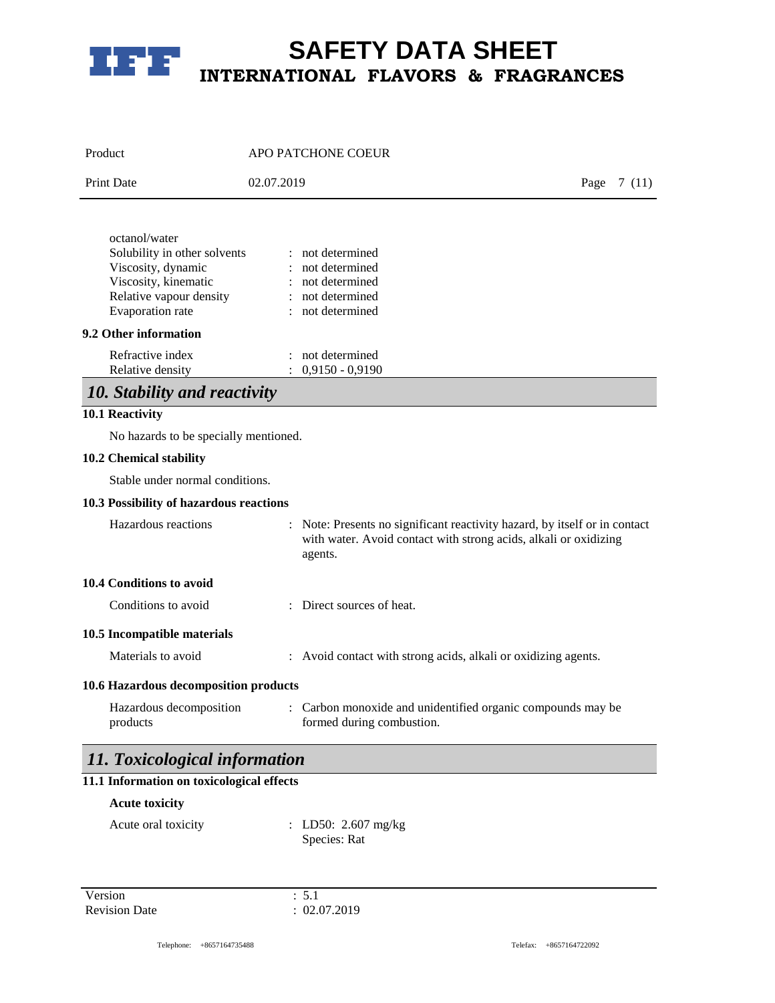

| Product                                                                                                                                    | APO PATCHONE COEUR                                                                                                                                        |                |
|--------------------------------------------------------------------------------------------------------------------------------------------|-----------------------------------------------------------------------------------------------------------------------------------------------------------|----------------|
| <b>Print Date</b>                                                                                                                          | 02.07.2019                                                                                                                                                | Page<br>7 (11) |
| octanol/water<br>Solubility in other solvents<br>Viscosity, dynamic<br>Viscosity, kinematic<br>Relative vapour density<br>Evaporation rate | : not determined<br>not determined<br>not determined<br>: not determined<br>: not determined                                                              |                |
| 9.2 Other information<br>Refractive index<br>Relative density                                                                              | : not determined<br>$: 0,9150 - 0,9190$                                                                                                                   |                |
| 10. Stability and reactivity                                                                                                               |                                                                                                                                                           |                |
| 10.1 Reactivity                                                                                                                            |                                                                                                                                                           |                |
| No hazards to be specially mentioned.                                                                                                      |                                                                                                                                                           |                |
| 10.2 Chemical stability                                                                                                                    |                                                                                                                                                           |                |
| Stable under normal conditions.                                                                                                            |                                                                                                                                                           |                |
| 10.3 Possibility of hazardous reactions                                                                                                    |                                                                                                                                                           |                |
| Hazardous reactions                                                                                                                        | : Note: Presents no significant reactivity hazard, by itself or in contact<br>with water. Avoid contact with strong acids, alkali or oxidizing<br>agents. |                |
| 10.4 Conditions to avoid                                                                                                                   |                                                                                                                                                           |                |
| Conditions to avoid                                                                                                                        | : Direct sources of heat.                                                                                                                                 |                |
| 10.5 Incompatible materials                                                                                                                |                                                                                                                                                           |                |
| Materials to avoid                                                                                                                         | : Avoid contact with strong acids, alkali or oxidizing agents.                                                                                            |                |
| 10.6 Hazardous decomposition products                                                                                                      |                                                                                                                                                           |                |
| Hazardous decomposition<br>products                                                                                                        | Carbon monoxide and unidentified organic compounds may be<br>formed during combustion.                                                                    |                |
| 11. Toxicological information                                                                                                              |                                                                                                                                                           |                |
| 11.1 Information on toxicological effects                                                                                                  |                                                                                                                                                           |                |
| <b>Acute toxicity</b>                                                                                                                      |                                                                                                                                                           |                |
| Acute oral toxicity                                                                                                                        | : LD50: $2.607 \text{ mg/kg}$<br>Species: Rat                                                                                                             |                |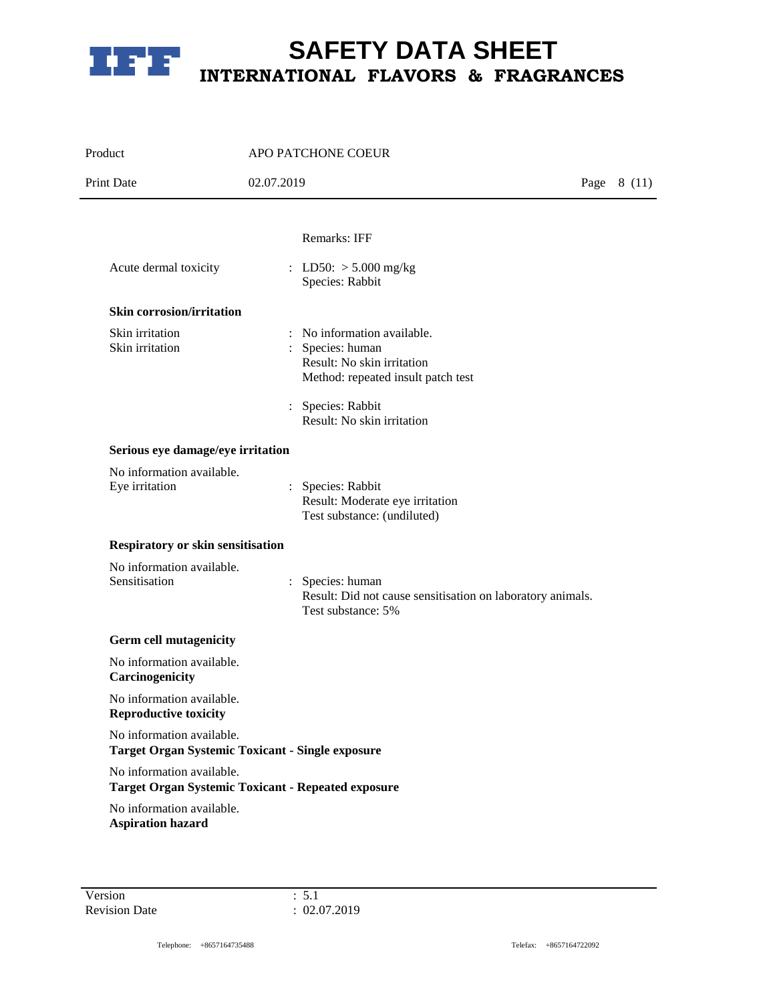

| Product                                                   | APO PATCHONE COEUR                                                                                                                                                   |              |
|-----------------------------------------------------------|----------------------------------------------------------------------------------------------------------------------------------------------------------------------|--------------|
| <b>Print Date</b>                                         | 02.07.2019                                                                                                                                                           | Page $8(11)$ |
|                                                           | Remarks: IFF                                                                                                                                                         |              |
| Acute dermal toxicity                                     | : LD50: $> 5.000$ mg/kg<br>Species: Rabbit                                                                                                                           |              |
| <b>Skin corrosion/irritation</b>                          |                                                                                                                                                                      |              |
| Skin irritation<br>Skin irritation                        | : No information available.<br>Species: human<br>Result: No skin irritation<br>Method: repeated insult patch test<br>: Species: Rabbit<br>Result: No skin irritation |              |
| Serious eye damage/eye irritation                         |                                                                                                                                                                      |              |
| No information available.<br>Eye irritation               | Species: Rabbit<br>Result: Moderate eye irritation<br>Test substance: (undiluted)                                                                                    |              |
| Respiratory or skin sensitisation                         |                                                                                                                                                                      |              |
| No information available.<br>Sensitisation                | Species: human<br>$\ddot{\phantom{a}}$<br>Result: Did not cause sensitisation on laboratory animals.<br>Test substance: 5%                                           |              |
| <b>Germ cell mutagenicity</b>                             |                                                                                                                                                                      |              |
| No information available.<br>Carcinogenicity              |                                                                                                                                                                      |              |
| No information available.<br><b>Reproductive toxicity</b> |                                                                                                                                                                      |              |
| No information available.                                 | <b>Target Organ Systemic Toxicant - Single exposure</b>                                                                                                              |              |
| No information available.                                 | <b>Target Organ Systemic Toxicant - Repeated exposure</b>                                                                                                            |              |
| No information available.<br><b>Aspiration hazard</b>     |                                                                                                                                                                      |              |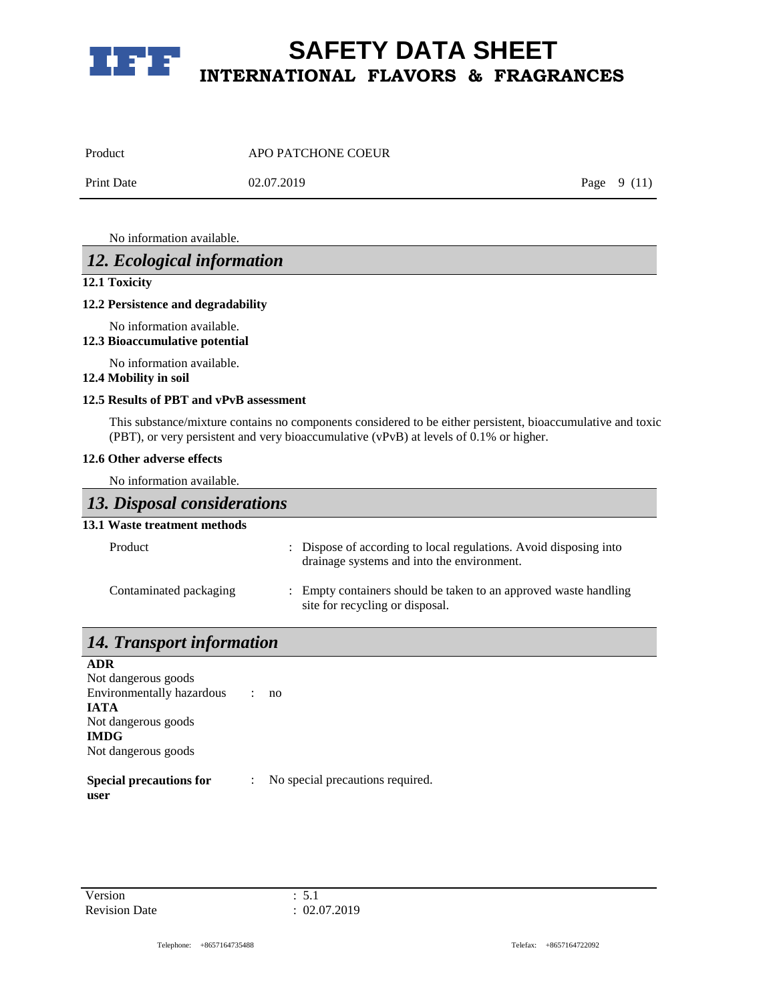

| Product           | APO PATCHONE COEUR |              |
|-------------------|--------------------|--------------|
| <b>Print Date</b> | 02.07.2019         | Page $9(11)$ |

No information available.

### *12. Ecological information*

### **12.1 Toxicity**

#### **12.2 Persistence and degradability**

No information available.

**12.3 Bioaccumulative potential**

No information available.

### **12.4 Mobility in soil**

### **12.5 Results of PBT and vPvB assessment**

This substance/mixture contains no components considered to be either persistent, bioaccumulative and toxic (PBT), or very persistent and very bioaccumulative (vPvB) at levels of 0.1% or higher.

### **12.6 Other adverse effects**

No information available.

### *13. Disposal considerations*

### **13.1 Waste treatment methods**

| Product                | : Dispose of according to local regulations. Avoid disposing into<br>drainage systems and into the environment. |
|------------------------|-----------------------------------------------------------------------------------------------------------------|
| Contaminated packaging | : Empty containers should be taken to an approved waste handling<br>site for recycling or disposal.             |

# *14. Transport information*

**ADR** Not dangerous goods Environmentally hazardous : no **IATA** Not dangerous goods **IMDG** Not dangerous goods **Special precautions for**  : No special precautions required.

**user**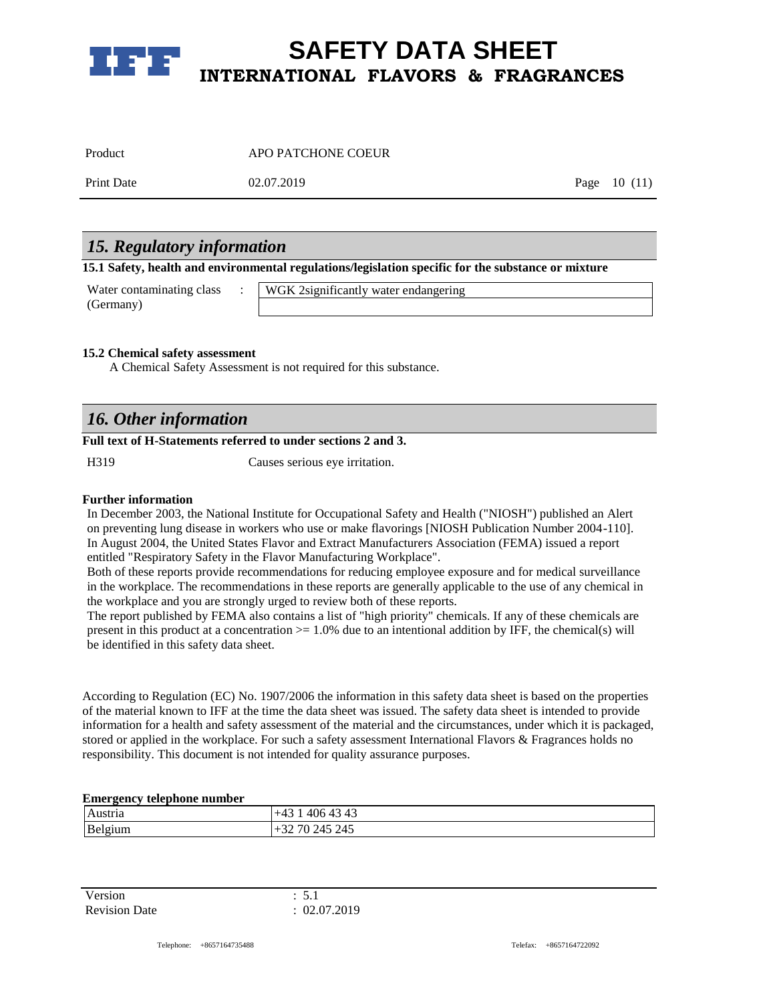

| Product | APO PATCHONE COEUR |
|---------|--------------------|
|         |                    |

Print Date 02.07.2019 Page 10 (11)

### *15. Regulatory information*

**15.1 Safety, health and environmental regulations/legislation specific for the substance or mixture**

| Water contaminating class | WGK 2significantly water endangering |
|---------------------------|--------------------------------------|
| (Germany)                 |                                      |

### **15.2 Chemical safety assessment**

A Chemical Safety Assessment is not required for this substance.

# *16. Other information*

### **Full text of H-Statements referred to under sections 2 and 3.**

H319 Causes serious eye irritation.

### **Further information**

In December 2003, the National Institute for Occupational Safety and Health ("NIOSH") published an Alert on preventing lung disease in workers who use or make flavorings [NIOSH Publication Number 2004-110]. In August 2004, the United States Flavor and Extract Manufacturers Association (FEMA) issued a report entitled "Respiratory Safety in the Flavor Manufacturing Workplace".

Both of these reports provide recommendations for reducing employee exposure and for medical surveillance in the workplace. The recommendations in these reports are generally applicable to the use of any chemical in the workplace and you are strongly urged to review both of these reports.

The report published by FEMA also contains a list of "high priority" chemicals. If any of these chemicals are present in this product at a concentration  $> = 1.0\%$  due to an intentional addition by IFF, the chemical(s) will be identified in this safety data sheet.

According to Regulation (EC) No. 1907/2006 the information in this safety data sheet is based on the properties of the material known to IFF at the time the data sheet was issued. The safety data sheet is intended to provide information for a health and safety assessment of the material and the circumstances, under which it is packaged, stored or applied in the workplace. For such a safety assessment International Flavors & Fragrances holds no responsibility. This document is not intended for quality assurance purposes.

### **Emergency telephone number**

| Austri  | 1212<br>ن+ ً<br>400 <del>4</del> 5<br>᠇ᢣ |
|---------|------------------------------------------|
| Belgium | 245 245<br>'υ                            |

Version : 5.1 Revision Date : 02.07.2019